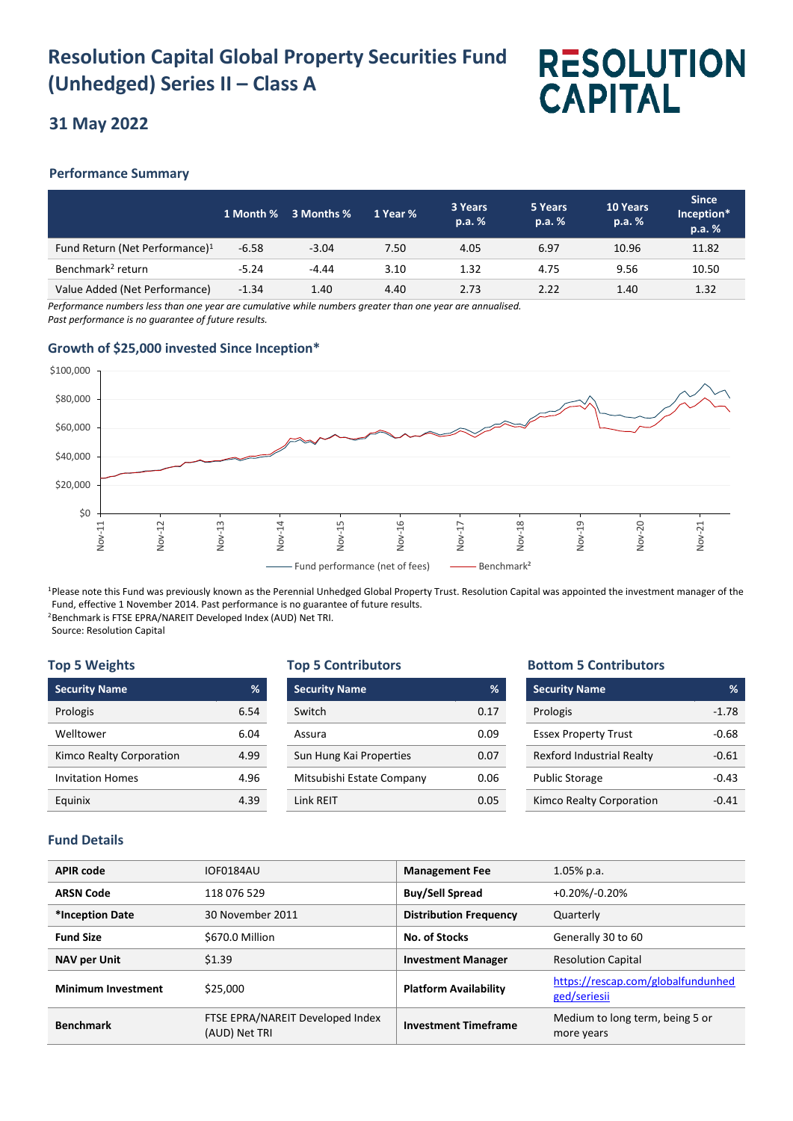## **Resolution Capital Global Property Securities Fund (Unhedged) Series II – Class A**

# **RESOLUTION CAPITAL**

### **31 May 2022**

#### **Performance Summary**

|                                            |         | 1 Month % 3 Months % | 1 Year % | 3 Years<br>p.a. % | 5 Years<br>p.a. % | 10 Years<br>p.a. % | <b>Since</b><br>Inception*<br>p.a. % |
|--------------------------------------------|---------|----------------------|----------|-------------------|-------------------|--------------------|--------------------------------------|
| Fund Return (Net Performance) <sup>1</sup> | $-6.58$ | $-3.04$              | 7.50     | 4.05              | 6.97              | 10.96              | 11.82                                |
| Benchmark <sup>2</sup> return              | $-5.24$ | $-4.44$              | 3.10     | 1.32              | 4.75              | 9.56               | 10.50                                |
| Value Added (Net Performance)              | $-1.34$ | 1.40                 | 4.40     | 2.73              | 2.22              | 1.40               | 1.32                                 |

*Performance numbers less than one year are cumulative while numbers greater than one year are annualised. Past performance is no guarantee of future results.*

#### **Growth of \$25,000 invested Since Inception\***



<sup>1</sup>Please note this Fund was previously known as the Perennial Unhedged Global Property Trust. Resolution Capital was appointed the investment manager of the Fund, effective 1 November 2014. Past performance is no guarantee of future results. <sup>2</sup>Benchmark is FTSE EPRA/NAREIT Developed Index (AUD) Net TRI.

Source: Resolution Capital

#### **Top 5 Weights**

| <b>Security Name</b>     | ℅    |
|--------------------------|------|
| Prologis                 | 6.54 |
| Welltower                | 6.04 |
| Kimco Realty Corporation | 4.99 |
| <b>Invitation Homes</b>  | 4.96 |
| Eauinix                  |      |

#### **Top 5 Contributors**

| <b>Security Name</b>      | ℅    |
|---------------------------|------|
| Switch                    | 0.17 |
| Assura                    | 0.09 |
| Sun Hung Kai Properties   | 0.07 |
| Mitsubishi Estate Company | 0.06 |
| <b>Link RFIT</b>          | 0.05 |

#### **Bottom 5 Contributors**

| <b>Security Name</b>             | %       |
|----------------------------------|---------|
| Prologis                         | $-1.78$ |
| <b>Essex Property Trust</b>      | -0.68   |
| <b>Rexford Industrial Realty</b> | $-0.61$ |
| <b>Public Storage</b>            | $-0.43$ |
| Kimco Realty Corporation         | -0 41   |

#### **Fund Details**

| <b>APIR code</b>          | IOF0184AU                                         | <b>Management Fee</b>         | $1.05\%$ p.a.                                      |
|---------------------------|---------------------------------------------------|-------------------------------|----------------------------------------------------|
| <b>ARSN Code</b>          | 118 076 529                                       | <b>Buy/Sell Spread</b>        | +0.20%/-0.20%                                      |
| *Inception Date           | 30 November 2011                                  | <b>Distribution Frequency</b> | Quarterly                                          |
| <b>Fund Size</b>          | \$670.0 Million                                   | No. of Stocks                 | Generally 30 to 60                                 |
| <b>NAV per Unit</b>       | \$1.39                                            | <b>Investment Manager</b>     | <b>Resolution Capital</b>                          |
| <b>Minimum Investment</b> | \$25,000                                          | <b>Platform Availability</b>  | https://rescap.com/globalfundunhed<br>ged/seriesii |
| <b>Benchmark</b>          | FTSE EPRA/NAREIT Developed Index<br>(AUD) Net TRI | <b>Investment Timeframe</b>   | Medium to long term, being 5 or<br>more years      |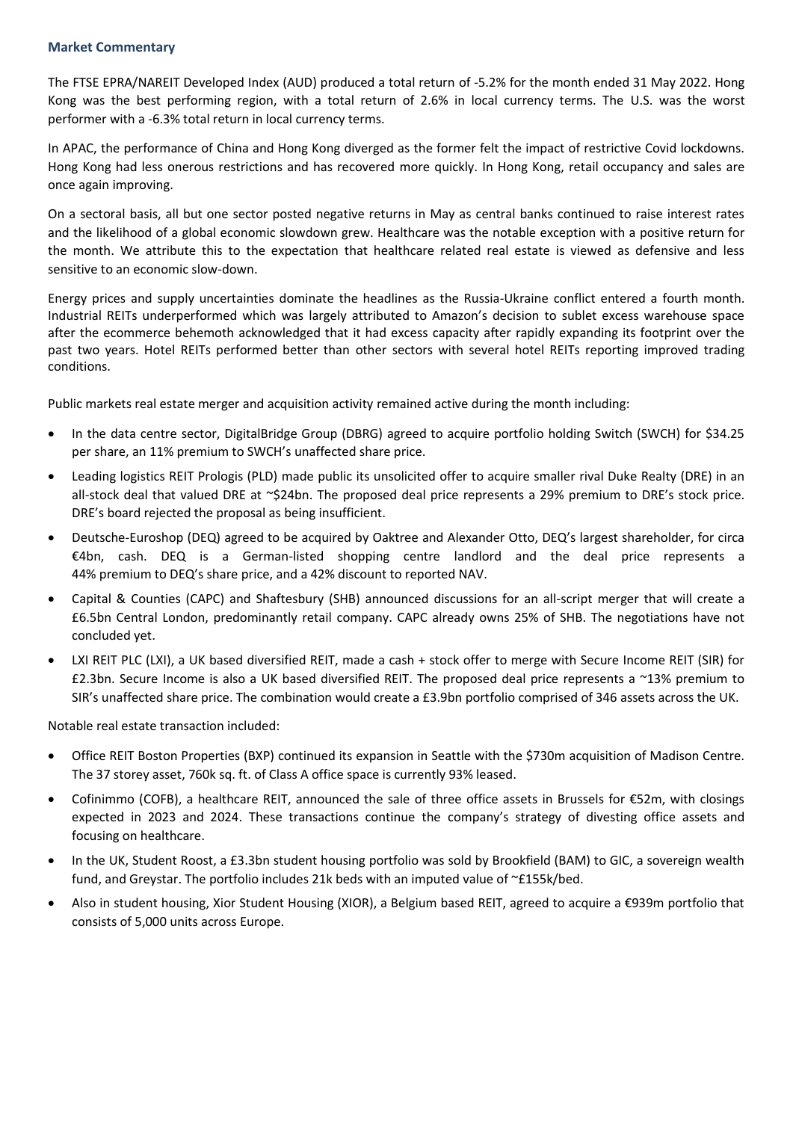#### **Market Commentary**

The FTSE EPRA/NAREIT Developed Index (AUD) produced a total return of -5.2% for the month ended 31 May 2022. Hong Kong was the best performing region, with a total return of 2.6% in local currency terms. The U.S. was the worst performer with a -6.3% total return in local currency terms.

In APAC, the performance of China and Hong Kong diverged as the former felt the impact of restrictive Covid lockdowns. Hong Kong had less onerous restrictions and has recovered more quickly. In Hong Kong, retail occupancy and sales are once again improving.

On a sectoral basis, all but one sector posted negative returns in May as central banks continued to raise interest rates and the likelihood of a global economic slowdown grew. Healthcare was the notable exception with a positive return for the month. We attribute this to the expectation that healthcare related real estate is viewed as defensive and less sensitive to an economic slow-down.

Energy prices and supply uncertainties dominate the headlines as the Russia-Ukraine conflict entered a fourth month. Industrial REITs underperformed which was largely attributed to Amazon's decision to sublet excess warehouse space after the ecommerce behemoth acknowledged that it had excess capacity after rapidly expanding its footprint over the past two years. Hotel REITs performed better than other sectors with several hotel REITs reporting improved trading conditions.

Public markets real estate merger and acquisition activity remained active during the month including:

- In the data centre sector, DigitalBridge Group (DBRG) agreed to acquire portfolio holding Switch (SWCH) for \$34.25 per share, an 11% premium to SWCH's unaffected share price.
- Leading logistics REIT Prologis (PLD) made public its unsolicited offer to acquire smaller rival Duke Realty (DRE) in an all-stock deal that valued DRE at ~\$24bn. The proposed deal price represents a 29% premium to DRE's stock price. DRE's board rejected the proposal as being insufficient.
- Deutsche-Euroshop (DEQ) agreed to be acquired by Oaktree and Alexander Otto, DEQ's largest shareholder, for circa €4bn, cash. DEQ is a German-listed shopping centre landlord and the deal price represents a 44% premium to DEQ's share price, and a 42% discount to reported NAV.
- Capital & Counties (CAPC) and Shaftesbury (SHB) announced discussions for an all-script merger that will create a £6.5bn Central London, predominantly retail company. CAPC already owns 25% of SHB. The negotiations have not concluded yet.
- LXI REIT PLC (LXI), a UK based diversified REIT, made a cash + stock offer to merge with Secure Income REIT (SIR) for £2.3bn. Secure Income is also a UK based diversified REIT. The proposed deal price represents a ~13% premium to SIR's unaffected share price. The combination would create a £3.9bn portfolio comprised of 346 assets across the UK.

Notable real estate transaction included:

- Office REIT Boston Properties (BXP) continued its expansion in Seattle with the \$730m acquisition of Madison Centre. The 37 storey asset, 760k sq. ft. of Class A office space is currently 93% leased.
- Cofinimmo (COFB), a healthcare REIT, announced the sale of three office assets in Brussels for €52m, with closings expected in 2023 and 2024. These transactions continue the company's strategy of divesting office assets and focusing on healthcare.
- In the UK, Student Roost, a £3.3bn student housing portfolio was sold by Brookfield (BAM) to GIC, a sovereign wealth fund, and Greystar. The portfolio includes 21k beds with an imputed value of ~£155k/bed.
- Also in student housing, Xior Student Housing (XIOR), a Belgium based REIT, agreed to acquire a €939m portfolio that consists of 5,000 units across Europe.